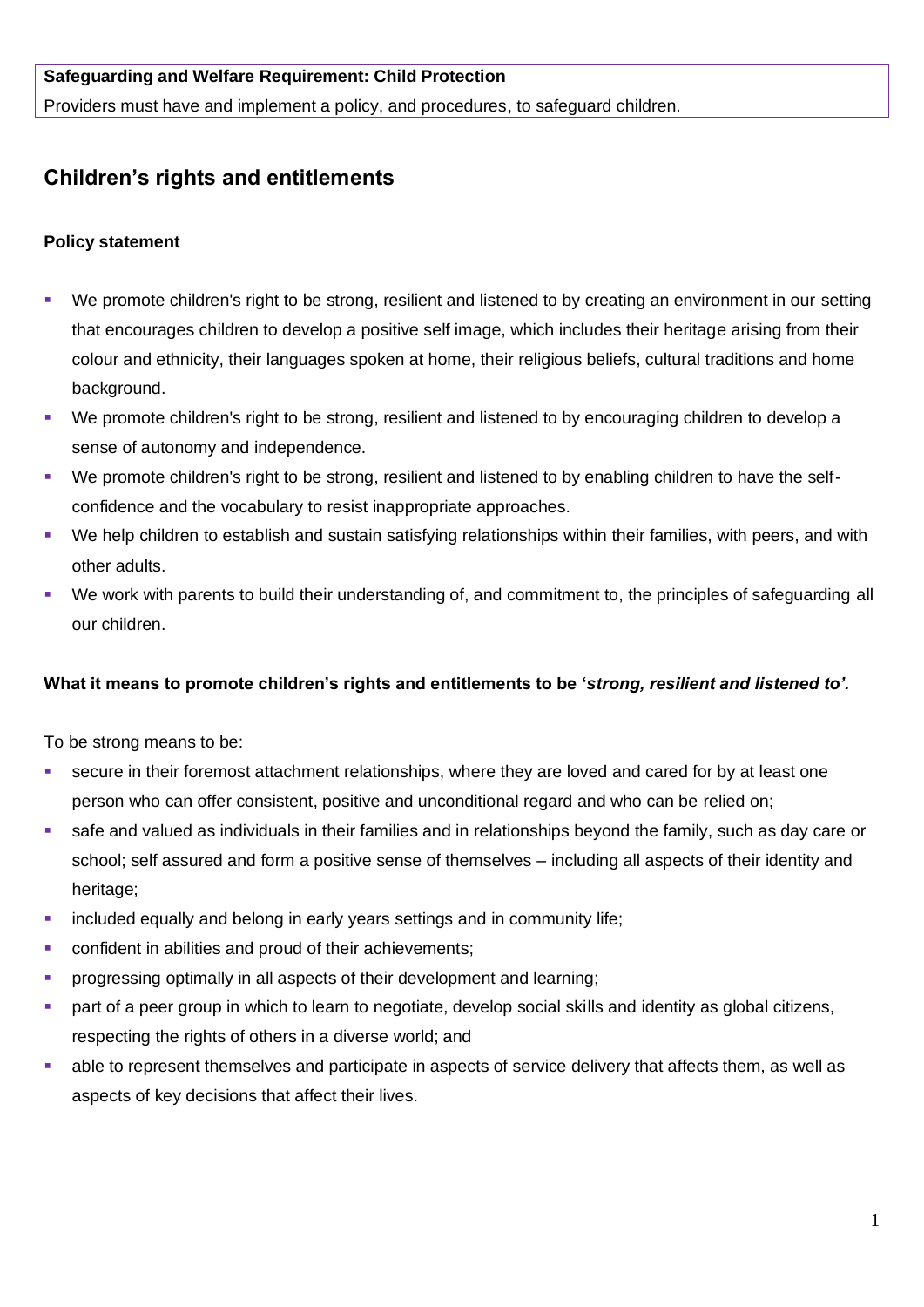## **Safeguarding and Welfare Requirement: Child Protection**

Providers must have and implement a policy, and procedures, to safeguard children.

## **Children's rights and entitlements**

## **Policy statement**

- We promote children's right to be strong, resilient and listened to by creating an environment in our setting that encourages children to develop a positive self image, which includes their heritage arising from their colour and ethnicity, their languages spoken at home, their religious beliefs, cultural traditions and home background.
- We promote children's right to be strong, resilient and listened to by encouraging children to develop a sense of autonomy and independence.
- We promote children's right to be strong, resilient and listened to by enabling children to have the selfconfidence and the vocabulary to resist inappropriate approaches.
- We help children to establish and sustain satisfying relationships within their families, with peers, and with other adults.
- We work with parents to build their understanding of, and commitment to, the principles of safeguarding all our children.

## **What it means to promote children's rights and entitlements to be '***strong, resilient and listened to'.*

To be strong means to be:

- secure in their foremost attachment relationships, where they are loved and cared for by at least one person who can offer consistent, positive and unconditional regard and who can be relied on;
- safe and valued as individuals in their families and in relationships beyond the family, such as day care or school; self assured and form a positive sense of themselves – including all aspects of their identity and heritage:
- **•** included equally and belong in early years settings and in community life;
- confident in abilities and proud of their achievements;
- **progressing optimally in all aspects of their development and learning:**
- part of a peer group in which to learn to negotiate, develop social skills and identity as global citizens, respecting the rights of others in a diverse world; and
- able to represent themselves and participate in aspects of service delivery that affects them, as well as aspects of key decisions that affect their lives.